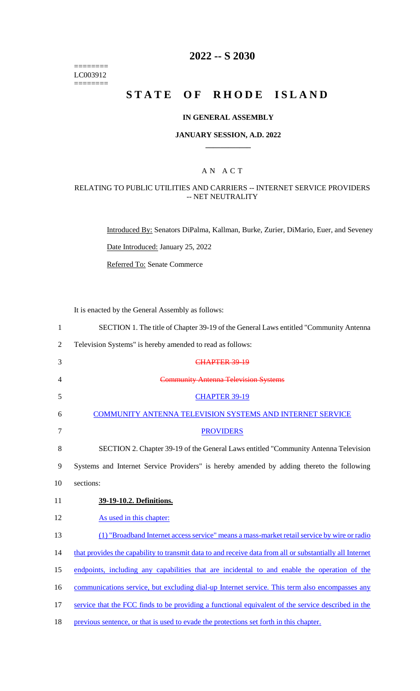======== LC003912  $=$ 

## **2022 -- S 2030**

# **STATE OF RHODE ISLAND**

#### **IN GENERAL ASSEMBLY**

#### **JANUARY SESSION, A.D. 2022 \_\_\_\_\_\_\_\_\_\_\_\_**

## A N A C T

### RELATING TO PUBLIC UTILITIES AND CARRIERS -- INTERNET SERVICE PROVIDERS -- NET NEUTRALITY

Introduced By: Senators DiPalma, Kallman, Burke, Zurier, DiMario, Euer, and Seveney

Date Introduced: January 25, 2022

Referred To: Senate Commerce

It is enacted by the General Assembly as follows:

| 1              | SECTION 1. The title of Chapter 39-19 of the General Laws entitled "Community Antenna                    |
|----------------|----------------------------------------------------------------------------------------------------------|
| $\overline{2}$ | Television Systems" is hereby amended to read as follows:                                                |
| 3              | CHAPTER 39-19                                                                                            |
| 4              | <b>Community Antenna Television Systems</b>                                                              |
| 5              | <b>CHAPTER 39-19</b>                                                                                     |
| 6              | <b>COMMUNITY ANTENNA TELEVISION SYSTEMS AND INTERNET SERVICE</b>                                         |
| 7              | <b>PROVIDERS</b>                                                                                         |
| 8              | SECTION 2. Chapter 39-19 of the General Laws entitled "Community Antenna Television                      |
| 9              | Systems and Internet Service Providers" is hereby amended by adding thereto the following                |
| 10             | sections:                                                                                                |
| 11             | 39-19-10.2. Definitions.                                                                                 |
| 12             | As used in this chapter:                                                                                 |
| 13             | (1) "Broadband Internet access service" means a mass-market retail service by wire or radio              |
| 14             | that provides the capability to transmit data to and receive data from all or substantially all Internet |
| 15             | endpoints, including any capabilities that are incidental to and enable the operation of the             |
| 16             | communications service, but excluding dial-up Internet service. This term also encompasses any           |
|                |                                                                                                          |
| 17             | service that the FCC finds to be providing a functional equivalent of the service described in the       |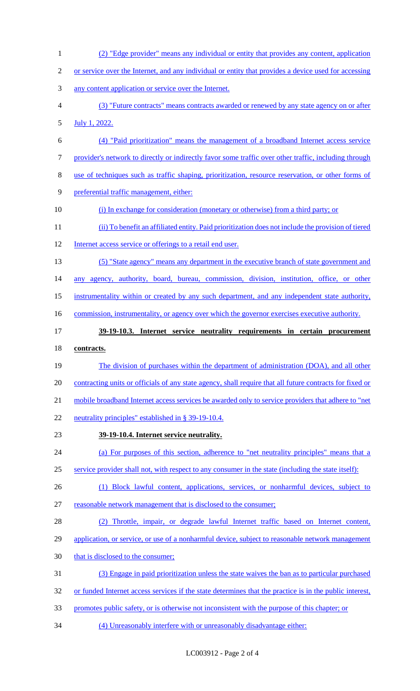(2) "Edge provider" means any individual or entity that provides any content, application or service over the Internet, and any individual or entity that provides a device used for accessing any content application or service over the Internet. (3) "Future contracts" means contracts awarded or renewed by any state agency on or after July 1, 2022. (4) "Paid prioritization" means the management of a broadband Internet access service provider's network to directly or indirectly favor some traffic over other traffic, including through use of techniques such as traffic shaping, prioritization, resource reservation, or other forms of preferential traffic management, either: (i) In exchange for consideration (monetary or otherwise) from a third party; or (ii) To benefit an affiliated entity. Paid prioritization does not include the provision of tiered 12 Internet access service or offerings to a retail end user. (5) "State agency" means any department in the executive branch of state government and any agency, authority, board, bureau, commission, division, institution, office, or other instrumentality within or created by any such department, and any independent state authority, 16 commission, instrumentality, or agency over which the governor exercises executive authority. **39-19-10.3. Internet service neutrality requirements in certain procurement contracts.**  19 The division of purchases within the department of administration (DOA), and all other 20 contracting units or officials of any state agency, shall require that all future contracts for fixed or 21 mobile broadband Internet access services be awarded only to service providers that adhere to "net neutrality principles" established in § 39-19-10.4. **39-19-10.4. Internet service neutrality.**  (a) For purposes of this section, adherence to "net neutrality principles" means that a service provider shall not, with respect to any consumer in the state (including the state itself): 26 (1) Block lawful content, applications, services, or nonharmful devices, subject to reasonable network management that is disclosed to the consumer; (2) Throttle, impair, or degrade lawful Internet traffic based on Internet content, application, or service, or use of a nonharmful device, subject to reasonable network management 30 that is disclosed to the consumer; (3) Engage in paid prioritization unless the state waives the ban as to particular purchased or funded Internet access services if the state determines that the practice is in the public interest, promotes public safety, or is otherwise not inconsistent with the purpose of this chapter; or (4) Unreasonably interfere with or unreasonably disadvantage either: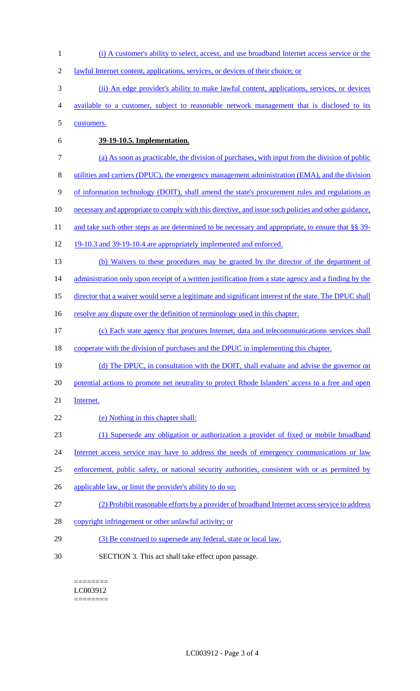- (i) A customer's ability to select, access, and use broadband Internet access service or the
- 2 lawful Internet content, applications, services, or devices of their choice; or
- (ii) An edge provider's ability to make lawful content, applications, services, or devices
- available to a customer, subject to reasonable network management that is disclosed to its
- customers.
- 

## **39-19-10.5. Implementation.**

- (a) As soon as practicable, the division of purchases, with input from the division of public
- utilities and carriers (DPUC), the emergency management administration (EMA), and the division
- of information technology (DOIT), shall amend the state's procurement rules and regulations as
- necessary and appropriate to comply with this directive, and issue such policies and other guidance,
- 11 and take such other steps as are determined to be necessary and appropriate, to ensure that §§ 39-
- 12 19-10.3 and 39-19-10.4 are appropriately implemented and enforced.
- (b) Waivers to these procedures may be granted by the director of the department of

administration only upon receipt of a written justification from a state agency and a finding by the

- 15 director that a waiver would serve a legitimate and significant interest of the state. The DPUC shall
- 16 resolve any dispute over the definition of terminology used in this chapter.
- (c) Each state agency that procures Internet, data and telecommunications services shall
- cooperate with the division of purchases and the DPUC in implementing this chapter.
- 19 (d) The DPUC, in consultation with the DOIT, shall evaluate and advise the governor on
- 20 potential actions to promote net neutrality to protect Rhode Islanders' access to a free and open
- Internet.
- (e) Nothing in this chapter shall:
- (1) Supersede any obligation or authorization a provider of fixed or mobile broadband
- 24 Internet access service may have to address the needs of emergency communications or law
- enforcement, public safety, or national security authorities, consistent with or as permitted by
- 26 applicable law, or limit the provider's ability to do so;
- (2) Prohibit reasonable efforts by a provider of broadband Internet access service to address
- copyright infringement or other unlawful activity; or
- (3) Be construed to supersede any federal, state or local law.
- SECTION 3. This act shall take effect upon passage.

======== LC003912 ========